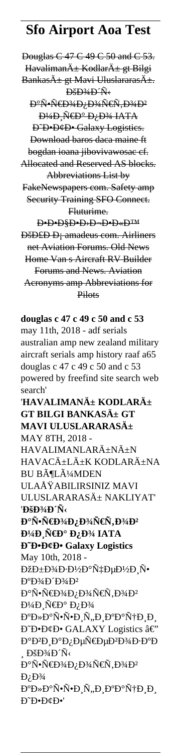## **Sfo Airport Aoa Test**

Douglas C 47 C 49 C 50 and C 53. Havaliman $\ddot{A}$  Kodlar $\ddot{A}$  gt Bilgi Bankası gt Mavi Uluslararası. **D**SD<sup>3</sup>4D N аѕрĐ¾Đ;Đ¾Ñ€Ñ,Đ¾Đ<sup>2</sup> <del>D¼D Ñ€D° D<sub>i</sub>D¼ IATA</del> D<sup>-</sup>D-D&D- Galaxy Logistics. Download baros daca maine ft bogdan ioana jibovivawosac cf. Allocated and Reserved AS blocks. Abbreviations List by FakeNewspapers com. Safety amp Security Training SFO Connect. Fluturime. **D**.D.D.D.D.D.D.D.D **D**šD£D D<sub>i</sub> amadeus com. Airliners net Aviation Forums. Old News Home Van s Aircraft RV Builder Forums and News. Aviation Acronyms amp Abbreviations for Pilots

**douglas c 47 c 49 c 50 and c 53** may 11th, 2018 - adf serials australian amp new zealand military aircraft serials amp history raaf a65 douglas c 47 c 49 c 50 and c 53 powered by freefind site search web search' 'HAVALIMANı KODLARı **GT BILGI BANKASı GT MAVI ULUSLARARASı** MAY 8TH, 2018 - HAVALIMANLARıNıN HAVACıLıK KODLARıNA BU BöLüMDEN ULAÅŸABILIRSINIZ MAVI ULUSLARARASı NAKLIYAT' '**DšD**<sup>3</sup>/4**D**<sup>'</sup>Ñ< аѕрĐ¾Đ¿Đ¾Ñ€Ñ,Đ¾Đ<del>2</del> **мРра по IATA D**<sup>+</sup>**D**<sup>+</sup>**D**<sup>+</sup>**D**<sup>+</sup>**Calaxy** Logistics May 10th, 2018 - ОбĐ¾Đ∙Đ½Đ°Ñ‡ĐµĐ½Đ¸Ñ• **D°D**34D'D34D2 аѕрĐ¾Đ¿Đ¾Ñ€Ñ,Đ¾Đ² D¼Đ Ñ€Đ° Đ¿Đ¾ алаѕѕĐ¸Ñ"иаации D<sup>®</sup>D<sup>•</sup>D¢D• GALAXY Logistics â€" аĐ<sup>2</sup>иаĐ¿ĐµÑ€ĐµĐ<sup>2</sup>Đ¾Đ∙аĐ  $\Delta$  ĐšĐ¾Đ Ñ< аѕрĐ¾Đ¿Đ¾Ň€Ň,Đ¾Đ2  $D<sub>i</sub> D<sup>3</sup>$ 4 алаѕѕĐ¸Ñ,иаации **D**<sup>\*</sup>D•D¢D•'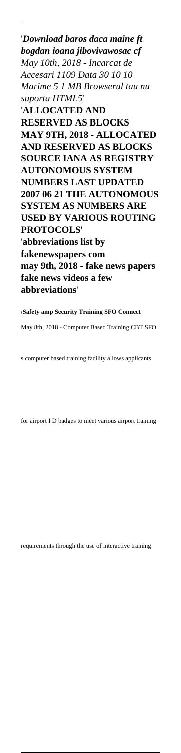'*Download baros daca maine ft bogdan ioana jibovivawosac cf May 10th, 2018 - Incarcat de Accesari 1109 Data 30 10 10 Marime 5 1 MB Browserul tau nu suporta HTML5*' '**ALLOCATED AND RESERVED AS BLOCKS MAY 9TH, 2018 - ALLOCATED AND RESERVED AS BLOCKS SOURCE IANA AS REGISTRY AUTONOMOUS SYSTEM NUMBERS LAST UPDATED 2007 06 21 THE AUTONOMOUS SYSTEM AS NUMBERS ARE USED BY VARIOUS ROUTING PROTOCOLS**' '**abbreviations list by fakenewspapers com may 9th, 2018 - fake news papers fake news videos a few abbreviations**'

'**Safety amp Security Training SFO Connect** May 8th, 2018 - Computer Based Training CBT SFO

s computer based training facility allows applicants

for airport I D badges to meet various airport training

requirements through the use of interactive training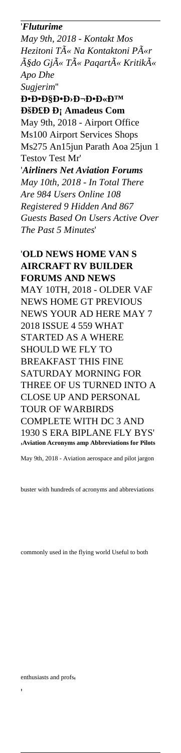## '*Fluturime*

*May 9th, 2018 - Kontakt Mos Hezitoni Të Na Kontaktoni Për çdo Gjë Të Paqartë Kritikë Apo Dhe*

*Sugjerim*'' **ЕЕЧЕЛЬЕЫЙ DšD£D** D; Amadeus Com May 9th, 2018 - Airport Office Ms100 Airport Services Shops Ms275 An15jun Parath Aoa 25jun 1 Testov Test Mr' '*Airliners Net Aviation Forums May 10th, 2018 - In Total There Are 984 Users Online 108 Registered 9 Hidden And 867*

*Guests Based On Users Active Over The Past 5 Minutes*'

'**OLD NEWS HOME VAN S AIRCRAFT RV BUILDER FORUMS AND NEWS** MAY 10TH, 2018 - OLDER VAF NEWS HOME GT PREVIOUS NEWS YOUR AD HERE MAY 7 2018 ISSUE 4 559 WHAT STARTED AS A WHERE SHOULD WE FLY TO BREAKFAST THIS FINE SATURDAY MORNING FOR THREE OF US TURNED INTO A CLOSE UP AND PERSONAL TOUR OF WARBIRDS COMPLETE WITH DC 3 AND 1930 S ERA BIPLANE FLY BYS' '**Aviation Acronyms amp Abbreviations for Pilots**

May 9th, 2018 - Aviation aerospace and pilot jargon

buster with hundreds of acronyms and abbreviations

commonly used in the flying world Useful to both

enthusiasts and profs'

'